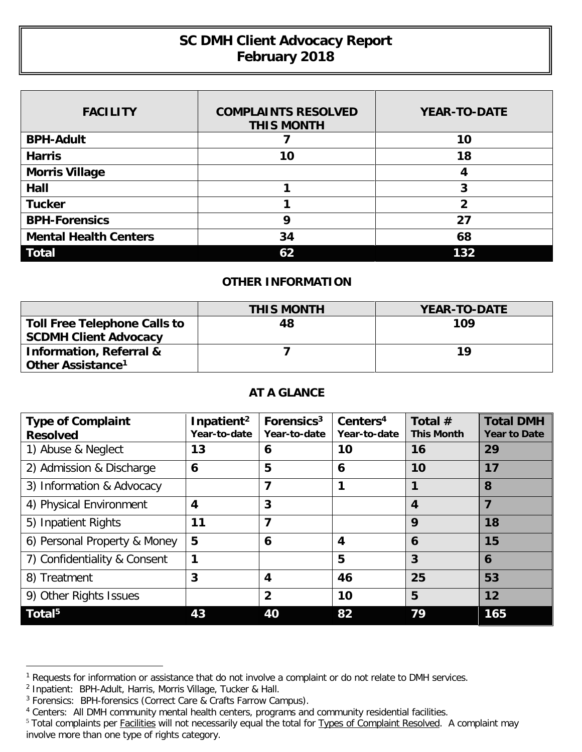## **SC DMH Client Advocacy Report February 2018**

| <b>FACILITY</b>              | <b>COMPLAINTS RESOLVED</b><br><b>THIS MONTH</b> | <b>YEAR-TO-DATE</b> |
|------------------------------|-------------------------------------------------|---------------------|
| <b>BPH-Adult</b>             |                                                 | 10                  |
| <b>Harris</b>                | 10                                              | 18                  |
| <b>Morris Village</b>        |                                                 | 4                   |
| Hall                         |                                                 | 3                   |
| <b>Tucker</b>                |                                                 | 2                   |
| <b>BPH-Forensics</b>         | Ω                                               | 27                  |
| <b>Mental Health Centers</b> | 34                                              | 68                  |
| <b>Total</b>                 | 62                                              | 132                 |

## **OTHER INFORMATION**

|                                                                     | <b>THIS MONTH</b> | <b>YEAR-TO-DATE</b> |
|---------------------------------------------------------------------|-------------------|---------------------|
| Toll Free Telephone Calls to<br><b>SCDMH Client Advocacy</b>        | 48                | 109                 |
| <b>Information, Referral &amp;</b><br>Other Assistance <sup>1</sup> |                   | 19                  |

## **AT A GLANCE**

| <b>Type of Complaint</b><br><b>Resolved</b> | Inpatient <sup>2</sup><br>Year-to-date | Forensics <sup>3</sup><br>Year-to-date | Centers <sup>4</sup><br>Year-to-date | Total $#$<br><b>This Month</b> | <b>Total DMH</b><br><b>Year to Date</b> |
|---------------------------------------------|----------------------------------------|----------------------------------------|--------------------------------------|--------------------------------|-----------------------------------------|
| 1) Abuse & Neglect                          | 13                                     | 6                                      | 10                                   | 16                             | 29                                      |
| 2) Admission & Discharge                    | 6                                      | 5                                      | 6                                    | 10                             | 17                                      |
| 3) Information & Advocacy                   |                                        | 7                                      |                                      |                                | 8                                       |
| 4) Physical Environment                     | $\overline{\mathbf{4}}$                | 3                                      |                                      | $\overline{\mathbf{4}}$        | 7                                       |
| 5) Inpatient Rights                         | 11                                     | 7                                      |                                      | 9                              | 18                                      |
| 6) Personal Property & Money                | 5                                      | 6                                      | $\boldsymbol{4}$                     | 6                              | 15                                      |
| 7) Confidentiality & Consent                | 1                                      |                                        | 5                                    | 3                              | 6                                       |
| 8) Treatment                                | 3                                      | 4                                      | 46                                   | 25                             | 53                                      |
| 9) Other Rights Issues                      |                                        | $\overline{2}$                         | 10                                   | 5                              | 12                                      |
| $\overline{\mathsf{Total}}^{5}$             | 43                                     | 40                                     | 82                                   | 79                             | 165                                     |

 $\overline{a}$ 

<sup>&</sup>lt;sup>1</sup> Requests for information or assistance that do not involve a complaint or do not relate to DMH services.

<sup>&</sup>lt;sup>2</sup> Inpatient: BPH-Adult, Harris, Morris Village, Tucker & Hall.

<sup>&</sup>lt;sup>3</sup> Forensics: BPH-forensics (Correct Care & Crafts Farrow Campus).

<sup>4</sup> Centers: All DMH community mental health centers, programs and community residential facilities.

<sup>&</sup>lt;sup>5</sup> Total complaints per Facilities will not necessarily equal the total for Types of Complaint Resolved. A complaint may involve more than one type of rights category.